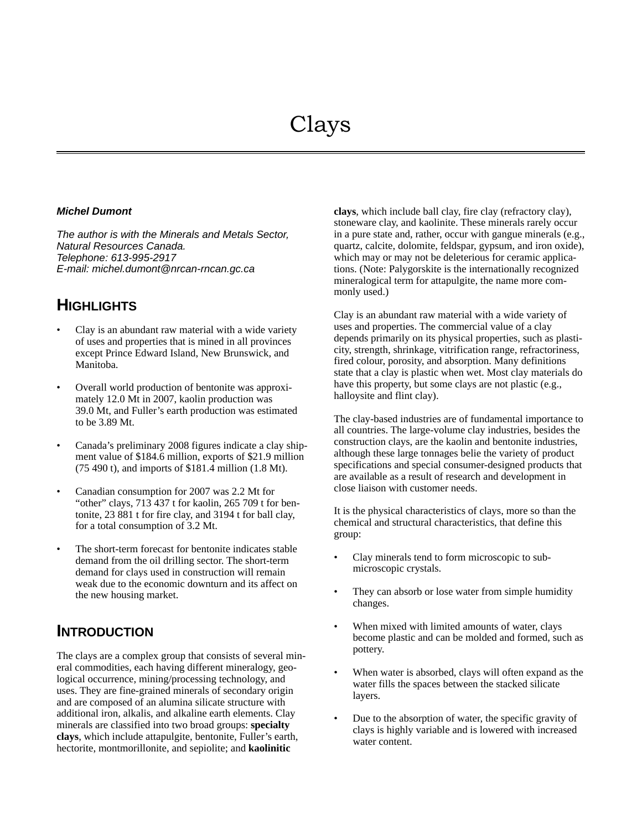#### *Michel Dumont*

*The author is with the Minerals and Metals Sector, Natural Resources Canada. Telephone: 613-995-2917 E-mail: michel.dumont@nrcan-rncan.gc.ca*

# **HIGHLIGHTS**

- Clay is an abundant raw material with a wide variety of uses and properties that is mined in all provinces except Prince Edward Island, New Brunswick, and Manitoba.
- Overall world production of bentonite was approximately 12.0 Mt in 2007, kaolin production was 39.0 Mt, and Fuller's earth production was estimated to be 3.89 Mt.
- Canada's preliminary 2008 figures indicate a clay shipment value of \$184.6 million, exports of \$21.9 million (75 490 t), and imports of \$181.4 million (1.8 Mt).
- Canadian consumption for 2007 was 2.2 Mt for "other" clays, 713 437 t for kaolin, 265 709 t for bentonite, 23 881 t for fire clay, and 3194 t for ball clay, for a total consumption of 3.2 Mt.
- The short-term forecast for bentonite indicates stable demand from the oil drilling sector. The short-term demand for clays used in construction will remain weak due to the economic downturn and its affect on the new housing market.

## **INTRODUCTION**

The clays are a complex group that consists of several mineral commodities, each having different mineralogy, geological occurrence, mining/processing technology, and uses. They are fine-grained minerals of secondary origin and are composed of an alumina silicate structure with additional iron, alkalis, and alkaline earth elements. Clay minerals are classified into two broad groups: **specialty clays**, which include attapulgite, bentonite, Fuller's earth, hectorite, montmorillonite, and sepiolite; and **kaolinitic** 

**clays**, which include ball clay, fire clay (refractory clay), stoneware clay, and kaolinite. These minerals rarely occur in a pure state and, rather, occur with gangue minerals (e.g., quartz, calcite, dolomite, feldspar, gypsum, and iron oxide), which may or may not be deleterious for ceramic applications. (Note: Palygorskite is the internationally recognized mineralogical term for attapulgite, the name more commonly used.)

Clay is an abundant raw material with a wide variety of uses and properties. The commercial value of a clay depends primarily on its physical properties, such as plasticity, strength, shrinkage, vitrification range, refractoriness, fired colour, porosity, and absorption. Many definitions state that a clay is plastic when wet. Most clay materials do have this property, but some clays are not plastic (e.g., halloysite and flint clay).

The clay-based industries are of fundamental importance to all countries. The large-volume clay industries, besides the construction clays, are the kaolin and bentonite industries, although these large tonnages belie the variety of product specifications and special consumer-designed products that are available as a result of research and development in close liaison with customer needs.

It is the physical characteristics of clays, more so than the chemical and structural characteristics, that define this group:

- Clay minerals tend to form microscopic to submicroscopic crystals.
- They can absorb or lose water from simple humidity changes.
- When mixed with limited amounts of water, clays become plastic and can be molded and formed, such as pottery.
- When water is absorbed, clays will often expand as the water fills the spaces between the stacked silicate layers.
- Due to the absorption of water, the specific gravity of clays is highly variable and is lowered with increased water content.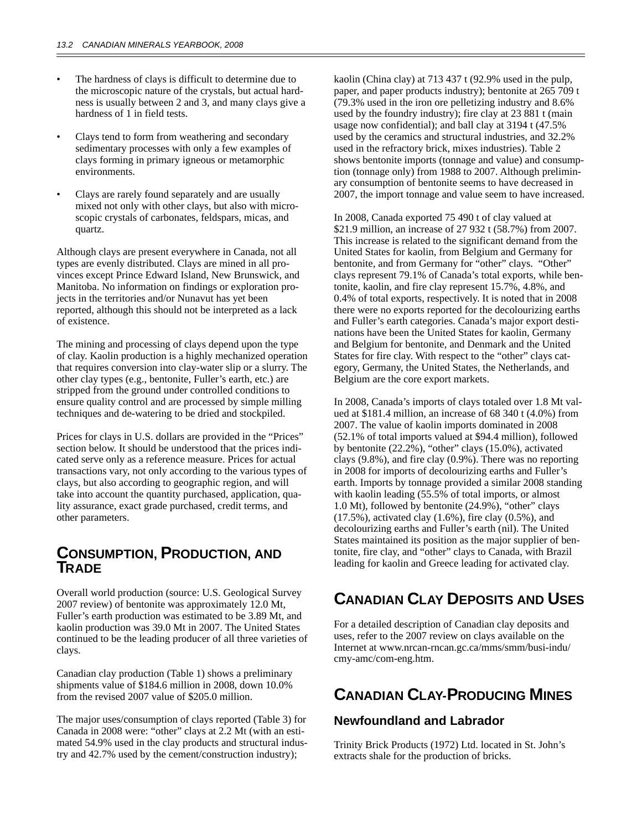- The hardness of clays is difficult to determine due to the microscopic nature of the crystals, but actual hardness is usually between 2 and 3, and many clays give a hardness of 1 in field tests.
- Clays tend to form from weathering and secondary sedimentary processes with only a few examples of clays forming in primary igneous or metamorphic environments.
- Clays are rarely found separately and are usually mixed not only with other clays, but also with microscopic crystals of carbonates, feldspars, micas, and quartz.

Although clays are present everywhere in Canada, not all types are evenly distributed. Clays are mined in all provinces except Prince Edward Island, New Brunswick, and Manitoba. No information on findings or exploration projects in the territories and/or Nunavut has yet been reported, although this should not be interpreted as a lack of existence.

The mining and processing of clays depend upon the type of clay. Kaolin production is a highly mechanized operation that requires conversion into clay-water slip or a slurry. The other clay types (e.g., bentonite, Fuller's earth, etc.) are stripped from the ground under controlled conditions to ensure quality control and are processed by simple milling techniques and de-watering to be dried and stockpiled.

Prices for clays in U.S. dollars are provided in the "Prices" section below. It should be understood that the prices indicated serve only as a reference measure. Prices for actual transactions vary, not only according to the various types of clays, but also according to geographic region, and will take into account the quantity purchased, application, quality assurance, exact grade purchased, credit terms, and other parameters.

## **CONSUMPTION, PRODUCTION, AND TRADE**

Overall world production (source: U.S. Geological Survey 2007 review) of bentonite was approximately 12.0 Mt, Fuller's earth production was estimated to be 3.89 Mt, and kaolin production was 39.0 Mt in 2007. The United States continued to be the leading producer of all three varieties of clays.

Canadian clay production (Table 1) shows a preliminary shipments value of \$184.6 million in 2008, down 10.0% from the revised 2007 value of \$205.0 million.

The major uses/consumption of clays reported (Table 3) for Canada in 2008 were: "other" clays at 2.2 Mt (with an estimated 54.9% used in the clay products and structural industry and 42.7% used by the cement/construction industry);

kaolin (China clay) at 713 437 t (92.9% used in the pulp, paper, and paper products industry); bentonite at 265 709 t (79.3% used in the iron ore pelletizing industry and 8.6% used by the foundry industry); fire clay at 23 881 t (main usage now confidential); and ball clay at 3194 t (47.5% used by the ceramics and structural industries, and 32.2% used in the refractory brick, mixes industries). Table 2 shows bentonite imports (tonnage and value) and consumption (tonnage only) from 1988 to 2007. Although preliminary consumption of bentonite seems to have decreased in 2007, the import tonnage and value seem to have increased.

In 2008, Canada exported 75 490 t of clay valued at \$21.9 million, an increase of 27 932 t (58.7%) from 2007. This increase is related to the significant demand from the United States for kaolin, from Belgium and Germany for bentonite, and from Germany for "other" clays. "Other" clays represent 79.1% of Canada's total exports, while bentonite, kaolin, and fire clay represent 15.7%, 4.8%, and 0.4% of total exports, respectively. It is noted that in 2008 there were no exports reported for the decolourizing earths and Fuller's earth categories. Canada's major export destinations have been the United States for kaolin, Germany and Belgium for bentonite, and Denmark and the United States for fire clay. With respect to the "other" clays category, Germany, the United States, the Netherlands, and Belgium are the core export markets.

In 2008, Canada's imports of clays totaled over 1.8 Mt valued at \$181.4 million, an increase of 68 340 t (4.0%) from 2007. The value of kaolin imports dominated in 2008 (52.1% of total imports valued at \$94.4 million), followed by bentonite (22.2%), "other" clays (15.0%), activated clays (9.8%), and fire clay (0.9%). There was no reporting in 2008 for imports of decolourizing earths and Fuller's earth. Imports by tonnage provided a similar 2008 standing with kaolin leading (55.5% of total imports, or almost 1.0 Mt), followed by bentonite (24.9%), "other" clays (17.5%), activated clay (1.6%), fire clay (0.5%), and decolourizing earths and Fuller's earth (nil). The United States maintained its position as the major supplier of bentonite, fire clay, and "other" clays to Canada, with Brazil leading for kaolin and Greece leading for activated clay.

# **CANADIAN CLAY DEPOSITS AND USES**

For a detailed description of Canadian clay deposits and uses, refer to the 2007 review on clays available on the Internet at www.nrcan-rncan.gc.ca/mms/smm/busi-indu/ cmy-amc/com-eng.htm.

# **CANADIAN CLAY-PRODUCING MINES**

#### **Newfoundland and Labrador**

Trinity Brick Products (1972) Ltd. located in St. John's extracts shale for the production of bricks.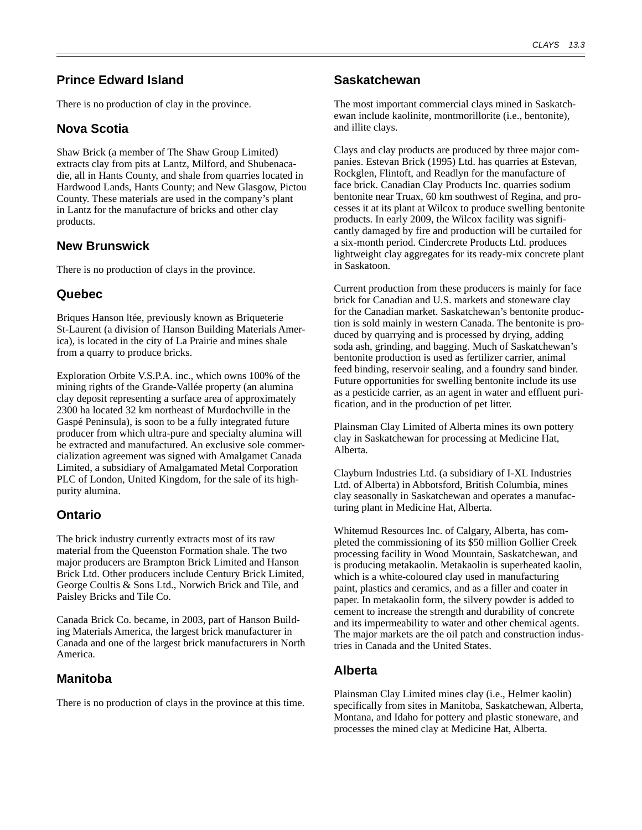## **Prince Edward Island**

There is no production of clay in the province.

## **Nova Scotia**

Shaw Brick (a member of The Shaw Group Limited) extracts clay from pits at Lantz, Milford, and Shubenacadie, all in Hants County, and shale from quarries located in Hardwood Lands, Hants County; and New Glasgow, Pictou County. These materials are used in the company's plant in Lantz for the manufacture of bricks and other clay products.

#### **New Brunswick**

There is no production of clays in the province.

### **Quebec**

Briques Hanson ltée, previously known as Briqueterie St-Laurent (a division of Hanson Building Materials America), is located in the city of La Prairie and mines shale from a quarry to produce bricks.

Exploration Orbite V.S.P.A. inc., which owns 100% of the mining rights of the Grande-Vallée property (an alumina clay deposit representing a surface area of approximately 2300 ha located 32 km northeast of Murdochville in the Gaspé Peninsula), is soon to be a fully integrated future producer from which ultra-pure and specialty alumina will be extracted and manufactured. An exclusive sole commercialization agreement was signed with Amalgamet Canada Limited, a subsidiary of Amalgamated Metal Corporation PLC of London, United Kingdom, for the sale of its highpurity alumina.

## **Ontario**

The brick industry currently extracts most of its raw material from the Queenston Formation shale. The two major producers are Brampton Brick Limited and Hanson Brick Ltd. Other producers include Century Brick Limited, George Coultis & Sons Ltd., Norwich Brick and Tile, and Paisley Bricks and Tile Co.

Canada Brick Co. became, in 2003, part of Hanson Building Materials America, the largest brick manufacturer in Canada and one of the largest brick manufacturers in North America.

## **Manitoba**

There is no production of clays in the province at this time.

### **Saskatchewan**

The most important commercial clays mined in Saskatchewan include kaolinite, montmorillorite (i.e., bentonite), and illite clays.

Clays and clay products are produced by three major companies. Estevan Brick (1995) Ltd. has quarries at Estevan, Rockglen, Flintoft, and Readlyn for the manufacture of face brick. Canadian Clay Products Inc. quarries sodium bentonite near Truax, 60 km southwest of Regina, and processes it at its plant at Wilcox to produce swelling bentonite products. In early 2009, the Wilcox facility was significantly damaged by fire and production will be curtailed for a six-month period. Cindercrete Products Ltd. produces lightweight clay aggregates for its ready-mix concrete plant in Saskatoon.

Current production from these producers is mainly for face brick for Canadian and U.S. markets and stoneware clay for the Canadian market. Saskatchewan's bentonite production is sold mainly in western Canada. The bentonite is produced by quarrying and is processed by drying, adding soda ash, grinding, and bagging. Much of Saskatchewan's bentonite production is used as fertilizer carrier, animal feed binding, reservoir sealing, and a foundry sand binder. Future opportunities for swelling bentonite include its use as a pesticide carrier, as an agent in water and effluent purification, and in the production of pet litter.

Plainsman Clay Limited of Alberta mines its own pottery clay in Saskatchewan for processing at Medicine Hat, Alberta.

Clayburn Industries Ltd. (a subsidiary of I-XL Industries Ltd. of Alberta) in Abbotsford, British Columbia, mines clay seasonally in Saskatchewan and operates a manufacturing plant in Medicine Hat, Alberta.

Whitemud Resources Inc. of Calgary, Alberta, has completed the commissioning of its \$50 million Gollier Creek processing facility in Wood Mountain, Saskatchewan, and is producing metakaolin. Metakaolin is superheated kaolin, which is a white-coloured clay used in manufacturing paint, plastics and ceramics, and as a filler and coater in paper. In metakaolin form, the silvery powder is added to cement to increase the strength and durability of concrete and its impermeability to water and other chemical agents. The major markets are the oil patch and construction industries in Canada and the United States.

## **Alberta**

Plainsman Clay Limited mines clay (i.e., Helmer kaolin) specifically from sites in Manitoba, Saskatchewan, Alberta, Montana, and Idaho for pottery and plastic stoneware, and processes the mined clay at Medicine Hat, Alberta.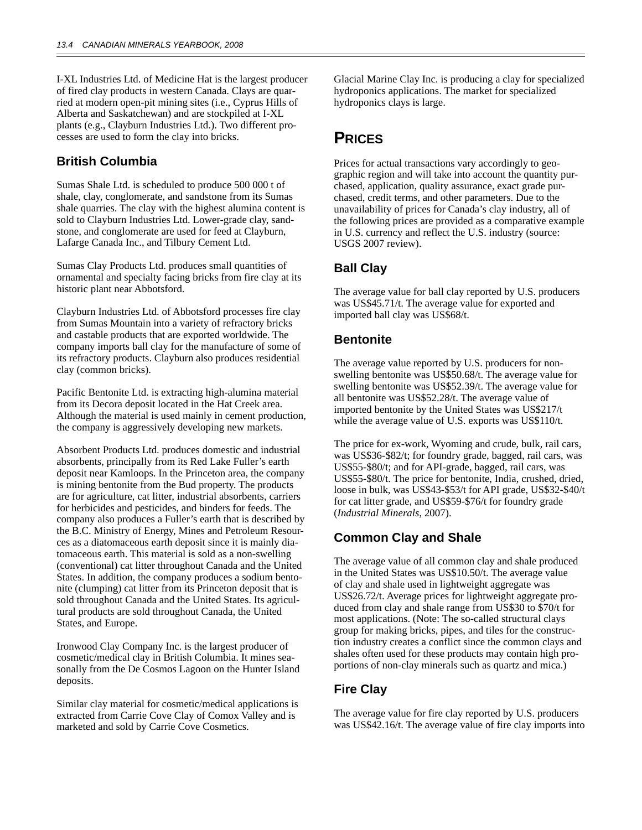I-XL Industries Ltd. of Medicine Hat is the largest producer of fired clay products in western Canada. Clays are quarried at modern open-pit mining sites (i.e., Cyprus Hills of Alberta and Saskatchewan) and are stockpiled at I-XL plants (e.g., Clayburn Industries Ltd.). Two different processes are used to form the clay into bricks.

#### **British Columbia**

Sumas Shale Ltd. is scheduled to produce 500 000 t of shale, clay, conglomerate, and sandstone from its Sumas shale quarries. The clay with the highest alumina content is sold to Clayburn Industries Ltd. Lower-grade clay, sandstone, and conglomerate are used for feed at Clayburn, Lafarge Canada Inc., and Tilbury Cement Ltd.

Sumas Clay Products Ltd. produces small quantities of ornamental and specialty facing bricks from fire clay at its historic plant near Abbotsford.

Clayburn Industries Ltd. of Abbotsford processes fire clay from Sumas Mountain into a variety of refractory bricks and castable products that are exported worldwide. The company imports ball clay for the manufacture of some of its refractory products. Clayburn also produces residential clay (common bricks).

Pacific Bentonite Ltd. is extracting high-alumina material from its Decora deposit located in the Hat Creek area. Although the material is used mainly in cement production, the company is aggressively developing new markets.

Absorbent Products Ltd. produces domestic and industrial absorbents, principally from its Red Lake Fuller's earth deposit near Kamloops. In the Princeton area, the company is mining bentonite from the Bud property. The products are for agriculture, cat litter, industrial absorbents, carriers for herbicides and pesticides, and binders for feeds. The company also produces a Fuller's earth that is described by the B.C. Ministry of Energy, Mines and Petroleum Resources as a diatomaceous earth deposit since it is mainly diatomaceous earth. This material is sold as a non-swelling (conventional) cat litter throughout Canada and the United States. In addition, the company produces a sodium bentonite (clumping) cat litter from its Princeton deposit that is sold throughout Canada and the United States. Its agricultural products are sold throughout Canada, the United States, and Europe.

Ironwood Clay Company Inc. is the largest producer of cosmetic/medical clay in British Columbia. It mines seasonally from the De Cosmos Lagoon on the Hunter Island deposits.

Similar clay material for cosmetic/medical applications is extracted from Carrie Cove Clay of Comox Valley and is marketed and sold by Carrie Cove Cosmetics.

Glacial Marine Clay Inc. is producing a clay for specialized hydroponics applications. The market for specialized hydroponics clays is large.

# **PRICES**

Prices for actual transactions vary accordingly to geographic region and will take into account the quantity purchased, application, quality assurance, exact grade purchased, credit terms, and other parameters. Due to the unavailability of prices for Canada's clay industry, all of the following prices are provided as a comparative example in U.S. currency and reflect the U.S. industry (source: USGS 2007 review).

### **Ball Clay**

The average value for ball clay reported by U.S. producers was US\$45.71/t. The average value for exported and imported ball clay was US\$68/t.

#### **Bentonite**

The average value reported by U.S. producers for nonswelling bentonite was US\$50.68/t. The average value for swelling bentonite was US\$52.39/t. The average value for all bentonite was US\$52.28/t. The average value of imported bentonite by the United States was US\$217/t while the average value of U.S. exports was US\$110/t.

The price for ex-work, Wyoming and crude, bulk, rail cars, was US\$36-\$82/t; for foundry grade, bagged, rail cars, was US\$55-\$80/t; and for API-grade, bagged, rail cars, was US\$55-\$80/t. The price for bentonite, India, crushed, dried, loose in bulk, was US\$43-\$53/t for API grade, US\$32-\$40/t for cat litter grade, and US\$59-\$76/t for foundry grade (*Industrial Minerals*, 2007).

#### **Common Clay and Shale**

The average value of all common clay and shale produced in the United States was US\$10.50/t. The average value of clay and shale used in lightweight aggregate was US\$26.72/t. Average prices for lightweight aggregate produced from clay and shale range from US\$30 to \$70/t for most applications. (Note: The so-called structural clays group for making bricks, pipes, and tiles for the construction industry creates a conflict since the common clays and shales often used for these products may contain high proportions of non-clay minerals such as quartz and mica.)

## **Fire Clay**

The average value for fire clay reported by U.S. producers was US\$42.16/t. The average value of fire clay imports into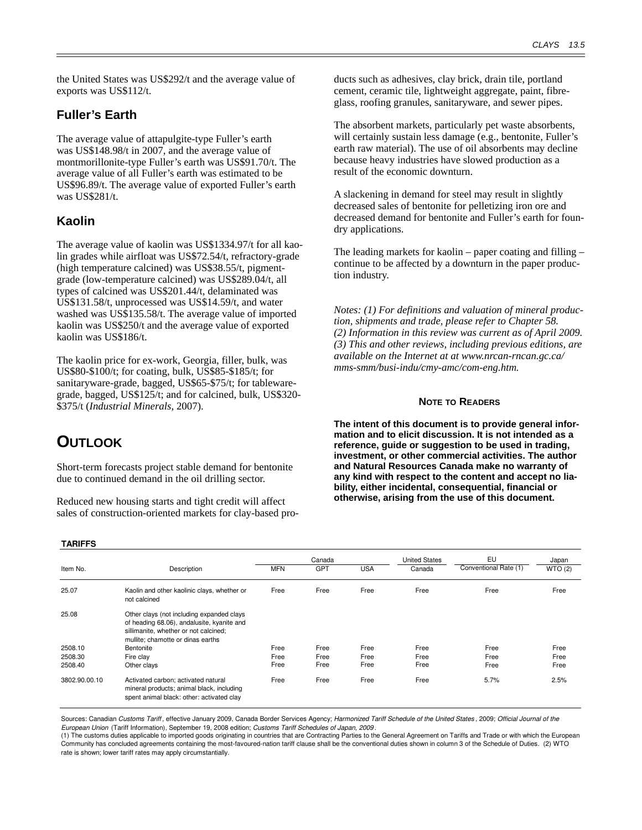the United States was US\$292/t and the average value of exports was US\$112/t.

#### **Fuller's Earth**

The average value of attapulgite-type Fuller's earth was US\$148.98/t in 2007, and the average value of montmorillonite-type Fuller's earth was US\$91.70/t. The average value of all Fuller's earth was estimated to be US\$96.89/t. The average value of exported Fuller's earth was US\$281/t.

#### **Kaolin**

The average value of kaolin was US\$1334.97/t for all kaolin grades while airfloat was US\$72.54/t, refractory-grade (high temperature calcined) was US\$38.55/t, pigmentgrade (low-temperature calcined) was US\$289.04/t, all types of calcined was US\$201.44/t, delaminated was US\$131.58/t, unprocessed was US\$14.59/t, and water washed was US\$135.58/t. The average value of imported kaolin was US\$250/t and the average value of exported kaolin was US\$186/t.

The kaolin price for ex-work, Georgia, filler, bulk, was US\$80-\$100/t; for coating, bulk, US\$85-\$185/t; for sanitaryware-grade, bagged, US\$65-\$75/t; for tablewaregrade, bagged, US\$125/t; and for calcined, bulk, US\$320- \$375/t (*Industrial Minerals*, 2007).

# **OUTLOOK**

Short-term forecasts project stable demand for bentonite due to continued demand in the oil drilling sector.

Reduced new housing starts and tight credit will affect sales of construction-oriented markets for clay-based products such as adhesives, clay brick, drain tile, portland cement, ceramic tile, lightweight aggregate, paint, fibreglass, roofing granules, sanitaryware, and sewer pipes.

The absorbent markets, particularly pet waste absorbents, will certainly sustain less damage (e.g., bentonite, Fuller's earth raw material). The use of oil absorbents may decline because heavy industries have slowed production as a result of the economic downturn.

A slackening in demand for steel may result in slightly decreased sales of bentonite for pelletizing iron ore and decreased demand for bentonite and Fuller's earth for foundry applications.

The leading markets for kaolin – paper coating and filling – continue to be affected by a downturn in the paper production industry.

*Notes: (1) For definitions and valuation of mineral production, shipments and trade, please refer to Chapter 58. (2) Information in this review was current as of April 2009. (3) This and other reviews, including previous editions, are available on the Internet at at www.nrcan-rncan.gc.ca/ mms-smm/busi-indu/cmy-amc/com-eng.htm.*

#### **NOTE TO READERS**

**The intent of this document is to provide general information and to elicit discussion. It is not intended as a reference, guide or suggestion to be used in trading, investment, or other commercial activities. The author and Natural Resources Canada make no warranty of any kind with respect to the content and accept no liability, either incidental, consequential, financial or otherwise, arising from the use of this document.**

#### **TARIFFS**

| Item No.      | Description                                                                                                                                                           | <b>MFN</b> | Canada<br>GPT | <b>USA</b> | <b>United States</b><br>Canada | EU<br>Conventional Rate (1) | Japan<br>WTO(2) |
|---------------|-----------------------------------------------------------------------------------------------------------------------------------------------------------------------|------------|---------------|------------|--------------------------------|-----------------------------|-----------------|
| 25.07         | Kaolin and other kaolinic clays, whether or<br>not calcined                                                                                                           | Free       | Free          | Free       | Free                           | Free                        | Free            |
| 25.08         | Other clays (not including expanded clays<br>of heading 68.06), andalusite, kyanite and<br>sillimanite, whether or not calcined;<br>mullite: chamotte or dinas earths |            |               |            |                                |                             |                 |
| 2508.10       | Bentonite                                                                                                                                                             | Free       | Free          | Free       | Free                           | Free                        | Free            |
| 2508.30       | Fire clay                                                                                                                                                             | Free       | Free          | Free       | Free                           | Free                        | Free            |
| 2508.40       | Other clays                                                                                                                                                           | Free       | Free          | Free       | Free                           | Free                        | Free            |
| 3802.90.00.10 | Activated carbon: activated natural<br>mineral products; animal black, including<br>spent animal black: other: activated clay                                         | Free       | Free          | Free       | Free                           | 5.7%                        | 2.5%            |

Sources: Canadian Customs Tariff, effective January 2009, Canada Border Services Agency; Harmonized Tariff Schedule of the United States, 2009; Official Journal of the European Union (Tariff Information), September 19, 2008 edition; Customs Tariff Schedules of Japan, 2009 .

(1) The customs duties applicable to imported goods originating in countries that are Contracting Parties to the General Agreement on Tariffs and Trade or with which the European Community has concluded agreements containing the most-favoured-nation tariff clause shall be the conventional duties shown in column 3 of the Schedule of Duties. (2) WTO rate is shown; lower tariff rates may apply circumstantially.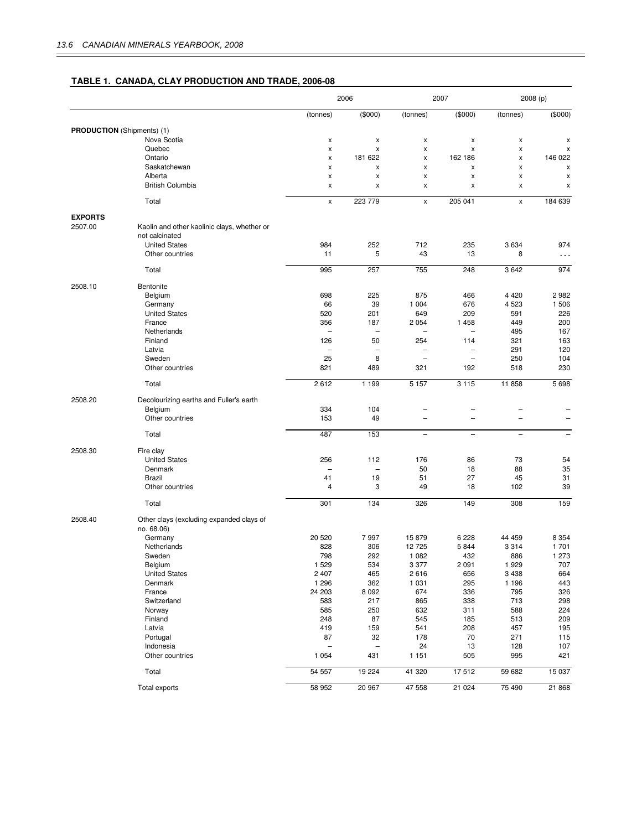#### **TABLE 1. CANADA, CLAY PRODUCTION AND TRADE, 2006-08**

|                |                                             | 2006           |                                | 2007                     |                          | 2008 (p)                 |                          |
|----------------|---------------------------------------------|----------------|--------------------------------|--------------------------|--------------------------|--------------------------|--------------------------|
|                |                                             | (tonnes)       | (\$000)                        | (tonnes)                 | (\$000)                  | (tonnes)                 | (\$000)                  |
|                | <b>PRODUCTION</b> (Shipments) (1)           |                |                                |                          |                          |                          |                          |
|                | Nova Scotia                                 | X              | x                              | X                        | x                        | x                        | x                        |
|                | Quebec                                      | x              | $\pmb{\times}$                 | X                        | X                        | X                        | x                        |
|                | Ontario                                     | X              | 181 622                        | $\pmb{\times}$           | 162 186                  | Χ                        | 146 022                  |
|                | Saskatchewan                                | X              | X                              | X                        | X                        | X                        | x                        |
|                | Alberta<br><b>British Columbia</b>          | X              | x                              | X                        | x                        | X                        | x                        |
|                |                                             | x              | X                              | X                        | x                        | x                        | x                        |
|                | Total                                       | $\pmb{\times}$ | 223 779                        | $\pmb{\chi}$             | 205 041                  | x                        | 184 639                  |
| <b>EXPORTS</b> |                                             |                |                                |                          |                          |                          |                          |
| 2507.00        | Kaolin and other kaolinic clays, whether or |                |                                |                          |                          |                          |                          |
|                | not calcinated                              |                |                                |                          |                          |                          |                          |
|                | <b>United States</b>                        | 984            | 252                            | 712                      | 235                      | 3634                     | 974                      |
|                | Other countries                             | 11             | 5                              | 43                       | 13                       | 8                        | $\cdots$                 |
|                | Total                                       | 995            | 257                            | 755                      | 248                      | 3 6 4 2                  | 974                      |
| 2508.10        | Bentonite                                   |                |                                |                          |                          |                          |                          |
|                | Belgium                                     | 698            | 225                            | 875                      | 466                      | 4 4 2 0                  | 2982                     |
|                | Germany                                     | 66             | 39                             | 1 0 0 4                  | 676                      | 4 5 23                   | 1 506                    |
|                | <b>United States</b>                        | 520            | 201                            | 649                      | 209                      | 591                      | 226                      |
|                | France                                      | 356            | 187                            | 2 0 5 4                  | 1 4 5 8                  | 449                      | 200                      |
|                | Netherlands                                 |                |                                |                          | $\overline{\phantom{0}}$ | 495                      | 167                      |
|                | Finland                                     | 126            | 50                             | 254                      | 114                      | 321                      | 163                      |
|                | Latvia                                      | ÷              | $\overline{\phantom{0}}$       |                          | $\overline{\phantom{0}}$ | 291                      | 120                      |
|                | Sweden                                      | 25             | 8                              | ۰                        | $\overline{\phantom{m}}$ | 250                      | 104                      |
|                | Other countries                             | 821            | 489                            | 321                      | 192                      | 518                      | 230                      |
|                | Total                                       | 2612           | 1 1 9 9                        | 5 1 5 7                  | 3 1 1 5                  | 11 858                   | 5698                     |
| 2508.20        | Decolourizing earths and Fuller's earth     |                |                                |                          |                          |                          |                          |
|                | Belgium                                     | 334            | 104                            |                          | -                        |                          |                          |
|                | Other countries                             | 153            | 49                             |                          |                          |                          |                          |
|                | Total                                       | 487            | 153                            | $\overline{\phantom{a}}$ | $\overline{\phantom{a}}$ | $\overline{\phantom{0}}$ | $\overline{\phantom{0}}$ |
|                |                                             |                |                                |                          |                          |                          |                          |
| 2508.30        | Fire clay                                   |                |                                |                          |                          |                          |                          |
|                | <b>United States</b>                        | 256            | 112                            | 176                      | 86                       | 73                       | 54                       |
|                | Denmark<br>Brazil                           | ۰<br>41        | $\overline{\phantom{0}}$<br>19 | 50<br>51                 | 18<br>27                 | 88<br>45                 | 35<br>31                 |
|                | Other countries                             | 4              | 3                              | 49                       | 18                       | 102                      | 39                       |
|                |                                             |                |                                |                          |                          |                          |                          |
|                | Total                                       | 301            | 134                            | 326                      | 149                      | 308                      | 159                      |
| 2508.40        | Other clays (excluding expanded clays of    |                |                                |                          |                          |                          |                          |
|                | no. 68.06)                                  | 20 520         | 7997                           | 15879                    | 6228                     | 44 459                   | 8 3 5 4                  |
|                | Germany<br>Netherlands                      | 828            | 306                            | 12 7 25                  | 5844                     | 3 3 1 4                  | 1701                     |
|                | Sweden                                      | 798            | 292                            | 1 0 8 2                  | 432                      | 886                      | 1 273                    |
|                | Belgium                                     | 1 5 2 9        | 534                            | 3 3 7 7                  | 2 0 9 1                  | 1 9 2 9                  | 707                      |
|                | <b>United States</b>                        | 2 4 0 7        | 465                            | 2616                     | 656                      | 3 4 3 8                  | 664                      |
|                | Denmark                                     | 1 2 9 6        | 362                            | 1 0 3 1                  | 295                      | 1 1 9 6                  | 443                      |
|                | France                                      | 24 203         | 8 0 9 2                        | 674                      | 336                      | 795                      | 326                      |
|                | Switzerland                                 | 583            | 217                            | 865                      | 338                      | 713                      | 298                      |
|                | Norway                                      | 585            | 250                            | 632                      | 311                      | 588                      | 224                      |
|                | Finland                                     | 248            | 87                             | 545                      | 185                      | 513                      | 209                      |
|                | Latvia                                      | 419            | 159                            | 541                      | 208                      | 457                      | 195                      |
|                | Portugal                                    | 87             | 32                             | 178                      | 70                       | 271                      | 115                      |
|                | Indonesia                                   |                |                                | 24                       | 13                       | 128                      | 107                      |
|                | Other countries                             | 1 0 5 4        | 431                            | 1 1 5 1                  | 505                      | 995                      | 421                      |
|                | Total                                       | 54 557         | 19 2 24                        | 41 320                   | 17512                    | 59 682                   | 15 037                   |
|                | Total exports                               | 58 952         | 20 967                         | 47 558                   | 21 0 24                  | 75 490                   | 21 868                   |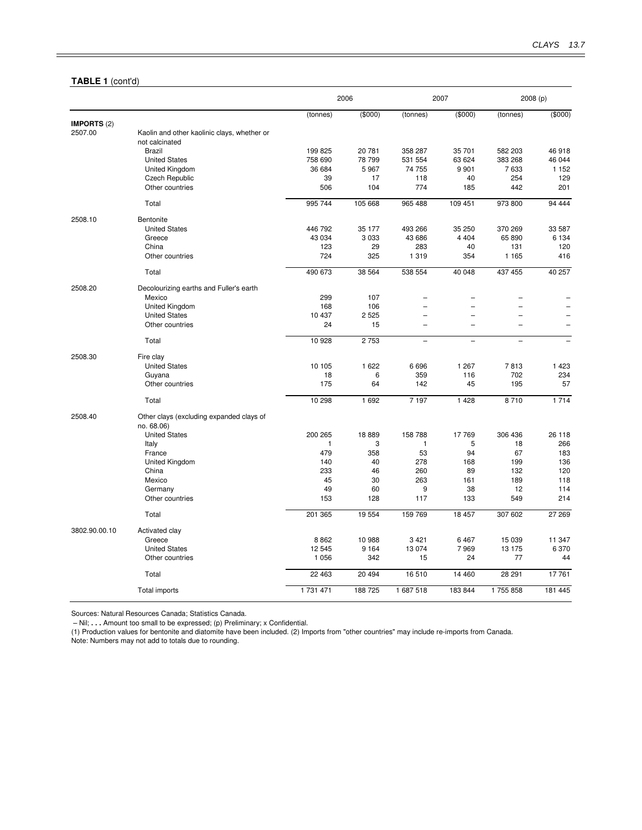#### **TABLE 1** (cont'd)

|               |                                             | 2006              |                |                   | 2007              |                  | 2008 (p)          |  |
|---------------|---------------------------------------------|-------------------|----------------|-------------------|-------------------|------------------|-------------------|--|
|               |                                             | (tonnes)          | (\$000)        | (tonnes)          | (\$000)           | (tonnes)         | (\$000)           |  |
| IMPORTS (2)   |                                             |                   |                |                   |                   |                  |                   |  |
| 2507.00       | Kaolin and other kaolinic clays, whether or |                   |                |                   |                   |                  |                   |  |
|               | not calcinated                              |                   |                |                   |                   |                  |                   |  |
|               | <b>Brazil</b>                               | 199 825           | 20 781         | 358 287           | 35 701            | 582 203          | 46 918            |  |
|               | <b>United States</b><br>United Kingdom      | 758 690<br>36 684 | 78 799<br>5967 | 531 554<br>74 755 | 63 624<br>9 9 0 1 | 383 268<br>7 633 | 46 044<br>1 1 5 2 |  |
|               | Czech Republic                              | 39                | 17             | 118               | 40                | 254              | 129               |  |
|               | Other countries                             | 506               | 104            | 774               | 185               | 442              | 201               |  |
|               | Total                                       | 995 744           | 105 668        | 965 488           | 109 451           | 973 800          | 94 444            |  |
|               |                                             |                   |                |                   |                   |                  |                   |  |
| 2508.10       | Bentonite                                   |                   |                |                   |                   |                  |                   |  |
|               | <b>United States</b>                        | 446 792           | 35 177         | 493 266           | 35 250            | 370 269          | 33 587            |  |
|               | Greece                                      | 43 0 34           | 3 0 3 3        | 43 686            | 4 4 0 4           | 65 890           | 6 1 3 4           |  |
|               | China                                       | 123               | 29             | 283               | 40                | 131              | 120               |  |
|               | Other countries                             | 724               | 325            | 1 3 1 9           | 354               | 1 1 6 5          | 416               |  |
|               | Total                                       | 490 673           | 38 5 64        | 538 554           | 40 048            | 437 455          | 40 257            |  |
| 2508.20       | Decolourizing earths and Fuller's earth     |                   |                |                   |                   |                  |                   |  |
|               | Mexico                                      | 299               | 107            |                   |                   |                  |                   |  |
|               | United Kingdom                              | 168               | 106            |                   |                   |                  |                   |  |
|               | <b>United States</b>                        | 10 437            | 2 5 2 5        |                   | $\equiv$          |                  |                   |  |
|               | Other countries                             | 24                | 15             |                   |                   |                  |                   |  |
|               | Total                                       | 10 928            | 2753           | L.                | L.                |                  |                   |  |
| 2508.30       | Fire clay                                   |                   |                |                   |                   |                  |                   |  |
|               | <b>United States</b>                        | 10 105            | 1 6 2 2        | 6696              | 1 2 6 7           | 7813             | 1 4 2 3           |  |
|               | Guyana                                      | 18                | 6              | 359               | 116               | 702              | 234               |  |
|               | Other countries                             | 175               | 64             | 142               | 45                | 195              | 57                |  |
|               | Total                                       | 10 298            | 1 6 9 2        | 7 1 9 7           | 1 4 2 8           | 8710             | 1714              |  |
| 2508.40       | Other clays (excluding expanded clays of    |                   |                |                   |                   |                  |                   |  |
|               | no. 68.06)                                  |                   |                |                   |                   |                  |                   |  |
|               | <b>United States</b>                        | 200 265           | 18889          | 158 788           | 17769             | 306 436          | 26 118            |  |
|               | Italy                                       | 1                 | 3              | $\mathbf{1}$      | 5                 | 18               | 266               |  |
|               | France                                      | 479               | 358            | 53                | 94                | 67               | 183               |  |
|               | United Kingdom                              | 140               | 40             | 278               | 168               | 199              | 136               |  |
|               | China                                       | 233               | 46             | 260               | 89                | 132              | 120               |  |
|               | Mexico                                      | 45                | 30             | 263               | 161               | 189              | 118               |  |
|               | Germany                                     | 49                | 60             | 9                 | 38                | 12               | 114               |  |
|               | Other countries                             | 153               | 128            | 117               | 133               | 549              | 214               |  |
|               | Total                                       | 201 365           | 19 554         | 159 769           | 18 457            | 307 602          | 27 269            |  |
| 3802.90.00.10 | Activated clay                              |                   |                |                   |                   |                  |                   |  |
|               | Greece                                      | 8862              | 10 988         | 3 4 21            | 6 4 6 7           | 15 039           | 11 347            |  |
|               | <b>United States</b>                        | 12 545            | 9 1 6 4        | 13 0 74           | 7969              | 13 175           | 6 3 7 0           |  |
|               | Other countries                             | 1 0 5 6           | 342            | 15                | 24                | 77               | 44                |  |
|               | Total                                       | 22 463            | 20 4 94        | 16510             | 14 460            | 28 291           | 17761             |  |
|               | Total imports                               | 1 731 471         | 188725         | 1 687 518         | 183 844           | 1755858          | 181 445           |  |

Sources: Natural Resources Canada; Statistics Canada.

– Nil; **. . .** Amount too small to be expressed; (p) Preliminary; x Confidential.

(1) Production values for bentonite and diatomite have been included. (2) Imports from "other countries" may include re-imports from Canada.

Note: Numbers may not add to totals due to rounding.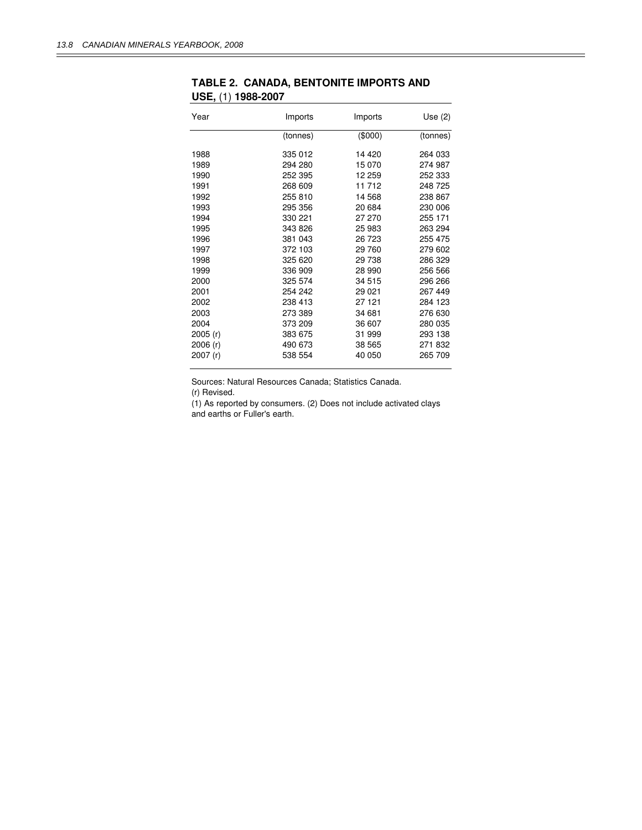| Year     | Imports  | Imports | Use $(2)$ |
|----------|----------|---------|-----------|
|          | (tonnes) | (\$000) | (tonnes)  |
| 1988     | 335 012  | 14 420  | 264 033   |
| 1989     | 294 280  | 15 070  | 274 987   |
| 1990     | 252 395  | 12 259  | 252 333   |
| 1991     | 268 609  | 11 712  | 248 725   |
| 1992     | 255 810  | 14 568  | 238 867   |
| 1993     | 295 356  | 20 684  | 230 006   |
| 1994     | 330 221  | 27 270  | 255 171   |
| 1995     | 343 826  | 25 983  | 263 294   |
| 1996     | 381 043  | 26 723  | 255 475   |
| 1997     | 372 103  | 29 760  | 279 602   |
| 1998     | 325 620  | 29 738  | 286 329   |
| 1999     | 336 909  | 28 990  | 256 566   |
| 2000     | 325 574  | 34 515  | 296 266   |
| 2001     | 254 242  | 29 0 21 | 267 449   |
| 2002     | 238 413  | 27 121  | 284 123   |
| 2003     | 273 389  | 34 681  | 276 630   |
| 2004     | 373 209  | 36 607  | 280 035   |
| 2005 (r) | 383 675  | 31 999  | 293 138   |
| 2006 (r) | 490 673  | 38 565  | 271832    |
| 2007 (r) | 538 554  | 40 050  | 265 709   |

### **TABLE 2. CANADA, BENTONITE IMPORTS AND USE,** (1) **1988-2007**

Sources: Natural Resources Canada; Statistics Canada.

(r) Revised.

(1) As reported by consumers. (2) Does not include activated clays and earths or Fuller's earth.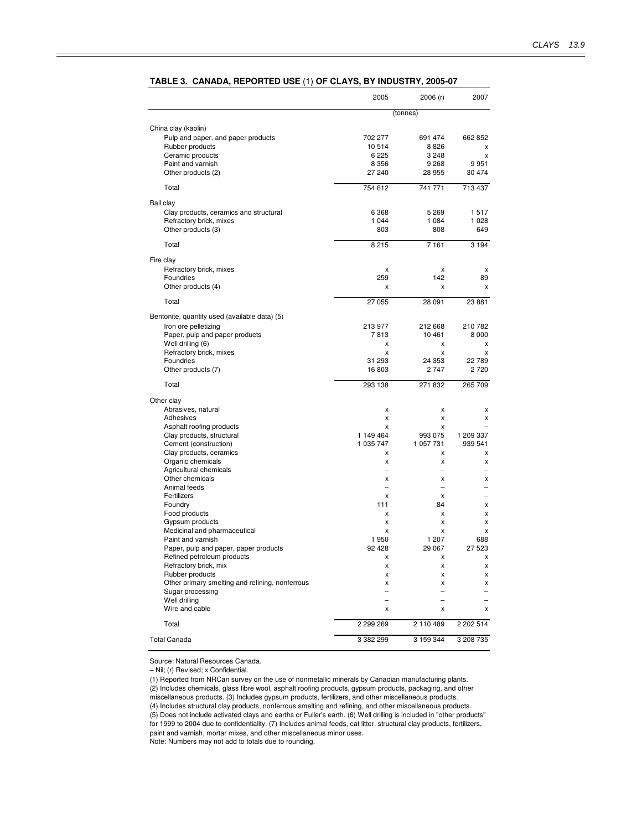|                                                 | 2005                     | 2006 (r)                  | 2007      |
|-------------------------------------------------|--------------------------|---------------------------|-----------|
|                                                 |                          | (tonnes)                  |           |
| China clay (kaolin)                             |                          |                           |           |
| Pulp and paper, and paper products              | 702 277                  | 691 474                   | 662 852   |
| Rubber products                                 | 10514                    | 8826                      | X         |
| Ceramic products                                | 6 2 2 5                  | 3 2 4 8                   | x         |
| Paint and varnish                               | 8 3 5 6                  | 9 2 6 8                   | 9951      |
| Other products (2)                              | 27 240                   | 28 955                    | 30 474    |
| Total                                           | 754 612                  | 741 771                   | 713 437   |
| Ball clay                                       |                          |                           |           |
| Clay products, ceramics and structural          | 6 3 6 8                  | 5 2 6 9                   | 1517      |
| Refractory brick, mixes                         | 1 0 4 4                  | 1 0 8 4                   | 1 0 2 8   |
| Other products (3)                              | 803                      | 808                       | 649       |
| Total                                           | 8215                     | 7 1 6 1                   | 3 1 9 4   |
| Fire clay                                       |                          |                           |           |
| Refractory brick, mixes                         | X                        | X                         | x         |
| Foundries                                       | 259                      | 142                       | 89        |
| Other products (4)                              | x                        | X                         | X         |
| Total                                           | 27 055                   | 28 091                    | 23 881    |
| Bentonite, quantity used (available data) (5)   |                          |                           |           |
| Iron ore pelletizing                            | 213 977                  | 212 668                   | 210 782   |
| Paper, pulp and paper products                  | 7813                     | 10461                     | 8 0 0 0   |
| Well drilling (6)                               | X                        | x                         | x         |
| Refractory brick, mixes                         | X                        | X                         | X         |
| Foundries                                       | 31 293                   | 24 353                    | 22 789    |
| Other products (7)                              | 16803                    | 2747                      | 2720      |
| Total                                           | 293 138                  | 271 832                   | 265 709   |
| Other clay                                      |                          |                           |           |
| Abrasives, natural                              | X                        | X                         | x         |
| Adhesives                                       | x                        | X                         | x         |
| Asphalt roofing products                        | X                        | X                         |           |
| Clay products, structural                       | 1 149 464                | 993 075                   | 1 209 337 |
| Cement (construction)                           | 1 035 747                | 1 057 731                 | 939 541   |
| Clay products, ceramics                         | x<br>X                   | x<br>X                    | х<br>X    |
| Organic chemicals<br>Agricultural chemicals     | $\overline{\phantom{0}}$ | L.                        |           |
| Other chemicals                                 | x                        | X                         | x         |
| Animal feeds                                    | $\overline{\phantom{0}}$ | $\overline{\phantom{0}}$  |           |
| Fertilizers                                     | x                        | x                         |           |
| Foundry                                         | 111                      | 84                        | x         |
| Food products                                   | X                        | x                         | x         |
| Gypsum products                                 | X                        | X                         | х         |
| Medicinal and pharmaceutical                    | X                        | X                         | x         |
| Paint and varnish                               | 1950                     | 1 207                     | 688       |
| Paper, pulp and paper, paper products           | 92 4 28                  | 29 067                    | 27 523    |
| Refined petroleum products                      | $\mathsf{x}$             | $\boldsymbol{\mathsf{x}}$ | x         |
| Refractory brick, mix<br>Rubber products        | x<br>x                   | x<br>x                    | X<br>x    |
| Other primary smelting and refining, nonferrous | X                        | x                         | x         |
| Sugar processing                                | -                        | $\overline{\phantom{0}}$  |           |
| Well drilling                                   | $\overline{\phantom{0}}$ |                           |           |
| Wire and cable                                  | x                        | x                         | x         |
| Total                                           | 2 299 269                | 2 110 489                 | 2 202 514 |
| <b>Total Canada</b>                             | 3 382 299                | 3 159 344                 | 3 208 735 |

#### **TABLE 3. CANADA, REPORTED USE** (1) **OF CLAYS, BY INDUSTRY, 2005-07**

Source: Natural Resources Canada.

– Nil; (r) Revised; x Confidential.

(1) Reported from NRCan survey on the use of nonmetallic minerals by Canadian manufacturing plants. (2) Includes chemicals, glass fibre wool, asphalt roofing products, gypsum products, packaging, and other miscellaneous products. (3) Includes gypsum products, fertilizers, and other miscellaneous products.

(4) Includes structural clay products, nonferrous smelting and refining, and other miscellaneous products. (5) Does not include activated clays and earths or Fuller's earth. (6) Well drilling is included in "other products" for 1999 to 2004 due to confidentiality. (7) Includes animal feeds, cat litter, structural clay products, fertilizers, paint and varnish, mortar mixes, and other miscellaneous minor uses.

Note: Numbers may not add to totals due to rounding.